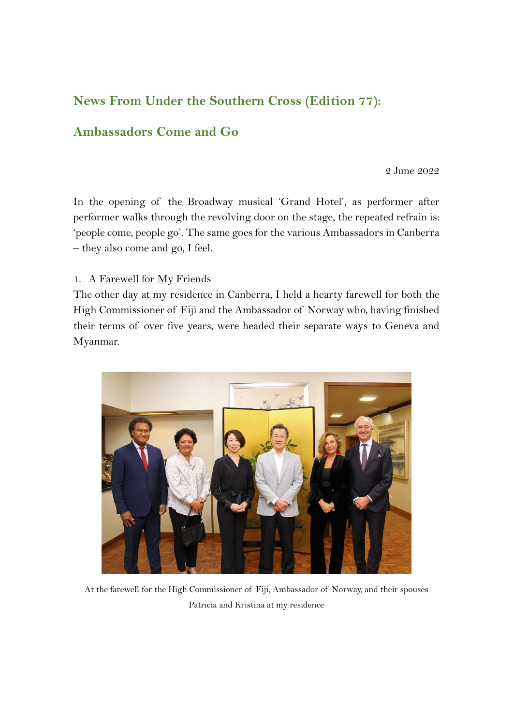# **News From Under the Southern Cross (Edition 77):**

## **Ambassadors Come and Go**

2 June 2022

In the opening of the Broadway musical 'Grand Hotel', as performer after performer walks through the revolving door on the stage, the repeated refrain is: 'people come, people go'. The same goes for the various Ambassadors in Canberra – they also come and go, I feel.

1. A Farewell for My Friends

The other day at my residence in Canberra, I held a hearty farewell for both the High Commissioner of Fiji and the Ambassador of Norway who, having finished their terms of over five years, were headed their separate ways to Geneva and Myanmar.



At the farewell for the High Commissioner of Fiji, Ambassador of Norway, and their spouses Patricia and Kristina at my residence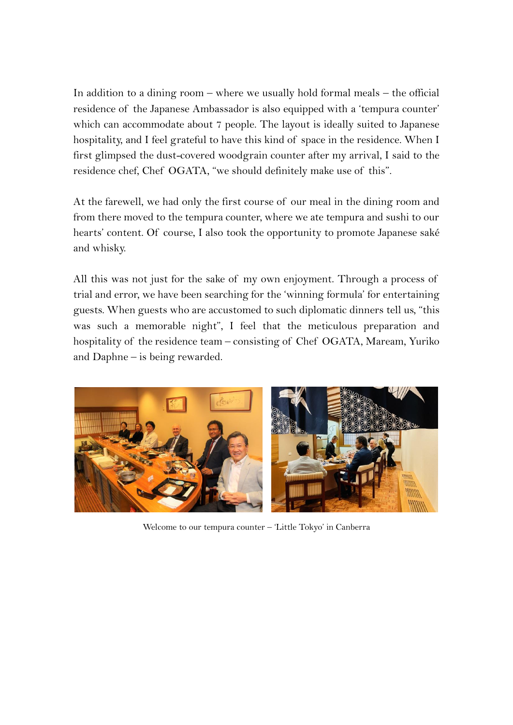In addition to a dining room  $-$  where we usually hold formal meals  $-$  the official residence of the Japanese Ambassador is also equipped with a 'tempura counter' which can accommodate about 7 people. The layout is ideally suited to Japanese hospitality, and I feel grateful to have this kind of space in the residence. When I first glimpsed the dust-covered woodgrain counter after my arrival, I said to the residence chef, Chef OGATA, "we should definitely make use of this".

At the farewell, we had only the first course of our meal in the dining room and from there moved to the tempura counter, where we ate tempura and sushi to our hearts' content. Of course, I also took the opportunity to promote Japanese saké and whisky.

All this was not just for the sake of my own enjoyment. Through a process of trial and error, we have been searching for the 'winning formula' for entertaining guests. When guests who are accustomed to such diplomatic dinners tell us, "this was such a memorable night", I feel that the meticulous preparation and hospitality of the residence team – consisting of Chef OGATA, Maream, Yuriko and Daphne – is being rewarded.



Welcome to our tempura counter – 'Little Tokyo' in Canberra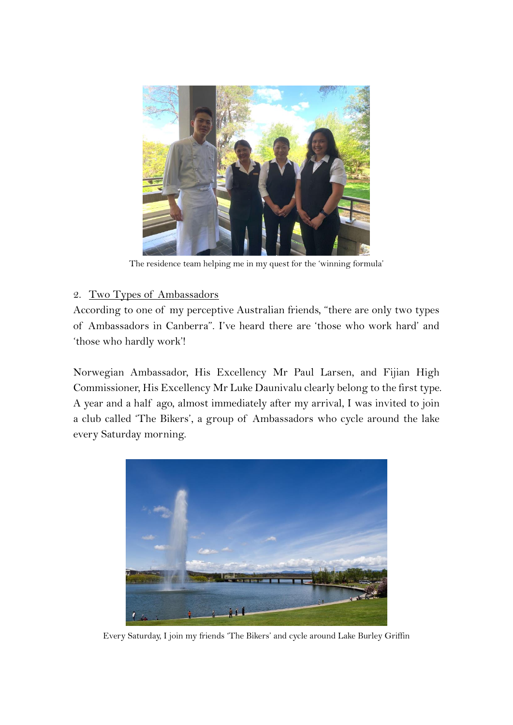

The residence team helping me in my quest for the 'winning formula'

## 2. Two Types of Ambassadors

According to one of my perceptive Australian friends, "there are only two types of Ambassadors in Canberra". I've heard there are 'those who work hard' and 'those who hardly work'!

Norwegian Ambassador, His Excellency Mr Paul Larsen, and Fijian High Commissioner, His Excellency Mr Luke Daunivalu clearly belong to the first type. A year and a half ago, almost immediately after my arrival, I was invited to join a club called 'The Bikers', a group of Ambassadors who cycle around the lake every Saturday morning.



Every Saturday, I join my friends 'The Bikers' and cycle around Lake Burley Griffin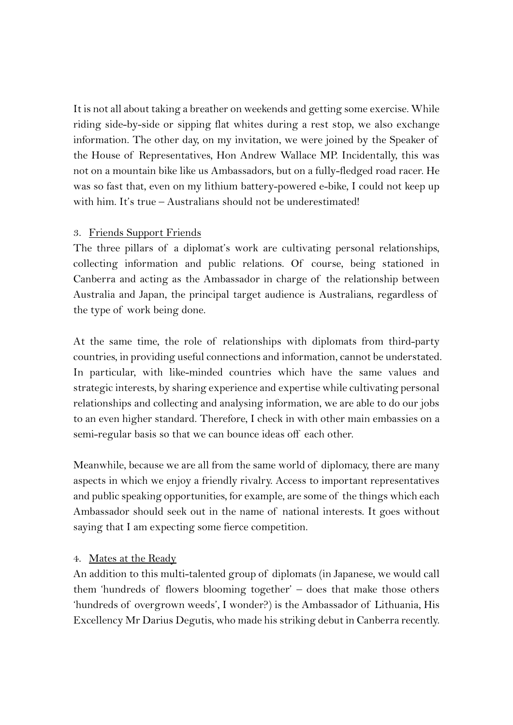It is not all about taking a breather on weekends and getting some exercise. While riding side-by-side or sipping flat whites during a rest stop, we also exchange information. The other day, on my invitation, we were joined by the Speaker of the House of Representatives, Hon Andrew Wallace MP. Incidentally, this was not on a mountain bike like us Ambassadors, but on a fully-fledged road racer. He was so fast that, even on my lithium battery-powered e-bike, I could not keep up with him. It's true – Australians should not be underestimated!

#### 3. Friends Support Friends

The three pillars of a diplomat's work are cultivating personal relationships, collecting information and public relations. Of course, being stationed in Canberra and acting as the Ambassador in charge of the relationship between Australia and Japan, the principal target audience is Australians, regardless of the type of work being done.

At the same time, the role of relationships with diplomats from third-party countries, in providing useful connections and information, cannot be understated. In particular, with like-minded countries which have the same values and strategic interests, by sharing experience and expertise while cultivating personal relationships and collecting and analysing information, we are able to do our jobs to an even higher standard. Therefore, I check in with other main embassies on a semi-regular basis so that we can bounce ideas off each other.

Meanwhile, because we are all from the same world of diplomacy, there are many aspects in which we enjoy a friendly rivalry. Access to important representatives and public speaking opportunities, for example, are some of the things which each Ambassador should seek out in the name of national interests. It goes without saying that I am expecting some fierce competition.

#### 4. Mates at the Ready

An addition to this multi-talented group of diplomats (in Japanese, we would call them 'hundreds of flowers blooming together' – does that make those others 'hundreds of overgrown weeds', I wonder?) is the Ambassador of Lithuania, His Excellency Mr Darius Degutis, who made his striking debut in Canberra recently.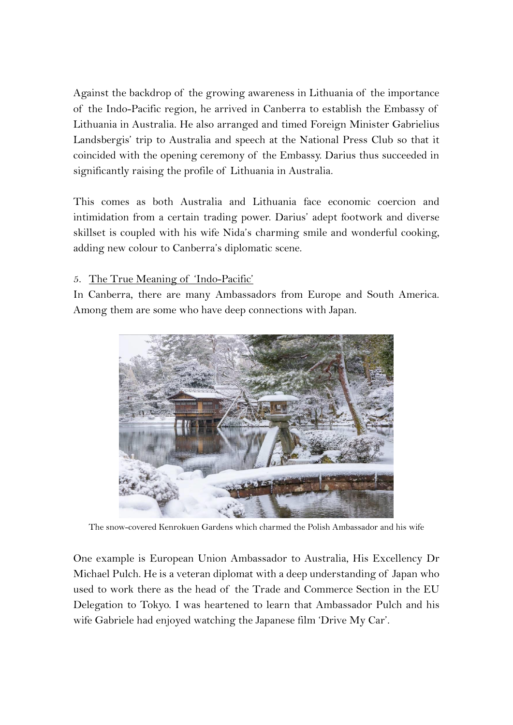Against the backdrop of the growing awareness in Lithuania of the importance of the Indo-Pacific region, he arrived in Canberra to establish the Embassy of Lithuania in Australia. He also arranged and timed Foreign Minister Gabrielius Landsbergis' trip to Australia and speech at the National Press Club so that it coincided with the opening ceremony of the Embassy. Darius thus succeeded in significantly raising the profile of Lithuania in Australia.

This comes as both Australia and Lithuania face economic coercion and intimidation from a certain trading power. Darius' adept footwork and diverse skillset is coupled with his wife Nida's charming smile and wonderful cooking, adding new colour to Canberra's diplomatic scene.

## 5. The True Meaning of 'Indo-Pacific'

In Canberra, there are many Ambassadors from Europe and South America. Among them are some who have deep connections with Japan.



The snow-covered Kenrokuen Gardens which charmed the Polish Ambassador and his wife

One example is European Union Ambassador to Australia, His Excellency Dr Michael Pulch. He is a veteran diplomat with a deep understanding of Japan who used to work there as the head of the Trade and Commerce Section in the EU Delegation to Tokyo. I was heartened to learn that Ambassador Pulch and his wife Gabriele had enjoyed watching the Japanese film 'Drive My Car'.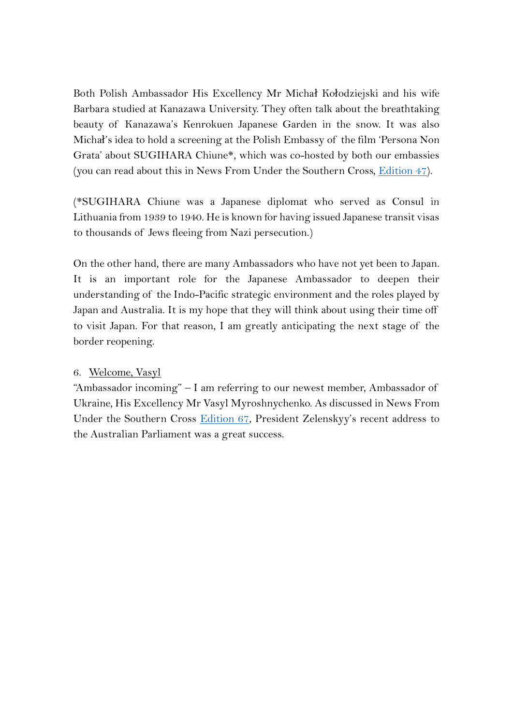Both Polish Ambassador His Excellency Mr Michał Kołodziejski and his wife Barbara studied at Kanazawa University. They often talk about the breathtaking beauty of Kanazawa's Kenrokuen Japanese Garden in the snow. It was also Michał's idea to hold a screening at the Polish Embassy of the film 'Persona Non Grata' about SUGIHARA Chiune\*, which was co-hosted by both our embassies (you can read about this in News From Under the Southern Cross, *Edition 47*).

(\*SUGIHARA Chiune was a Japanese diplomat who served as Consul in Lithuania from 1939 to 1940. He is known for having issued Japanese transit visas to thousands of Jews fleeing from Nazi persecution.)

On the other hand, there are many Ambassadors who have not yet been to Japan. It is an important role for the Japanese Ambassador to deepen their understanding of the Indo-Pacific strategic environment and the roles played by Japan and Australia. It is my hope that they will think about using their time off to visit Japan. For that reason, I am greatly anticipating the next stage of the border reopening.

#### 6. Welcome, Vasyl

"Ambassador incoming" – I am referring to our newest member, Ambassador of Ukraine, His Excellency Mr Vasyl Myroshnychenko. As discussed in News From Under the Southern Cross [Edition 67,](https://www.au.emb-japan.go.jp/files/100330001.pdf) President Zelenskyy's recent address to the Australian Parliament was a great success.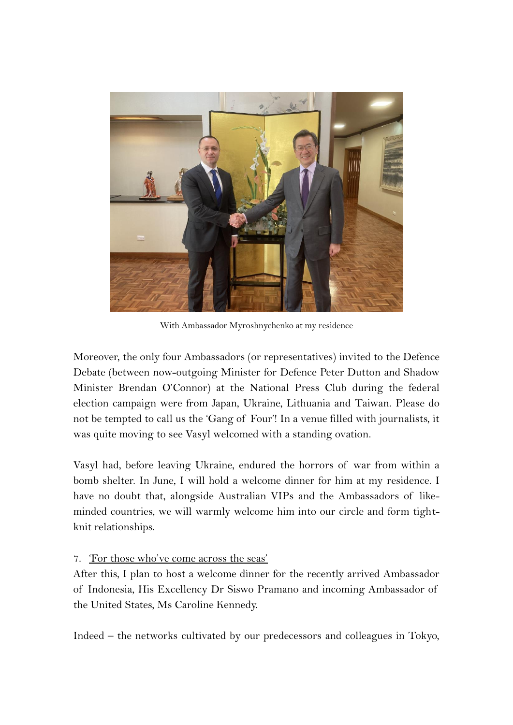

With Ambassador Myroshnychenko at my residence

Moreover, the only four Ambassadors (or representatives) invited to the Defence Debate (between now-outgoing Minister for Defence Peter Dutton and Shadow Minister Brendan O'Connor) at the National Press Club during the federal election campaign were from Japan, Ukraine, Lithuania and Taiwan. Please do not be tempted to call us the 'Gang of Four'! In a venue filled with journalists, it was quite moving to see Vasyl welcomed with a standing ovation.

Vasyl had, before leaving Ukraine, endured the horrors of war from within a bomb shelter. In June, I will hold a welcome dinner for him at my residence. I have no doubt that, alongside Australian VIPs and the Ambassadors of likeminded countries, we will warmly welcome him into our circle and form tightknit relationships.

### 7. 'For those who've come across the seas'

After this, I plan to host a welcome dinner for the recently arrived Ambassador of Indonesia, His Excellency Dr Siswo Pramano and incoming Ambassador of the United States, Ms Caroline Kennedy.

Indeed – the networks cultivated by our predecessors and colleagues in Tokyo,